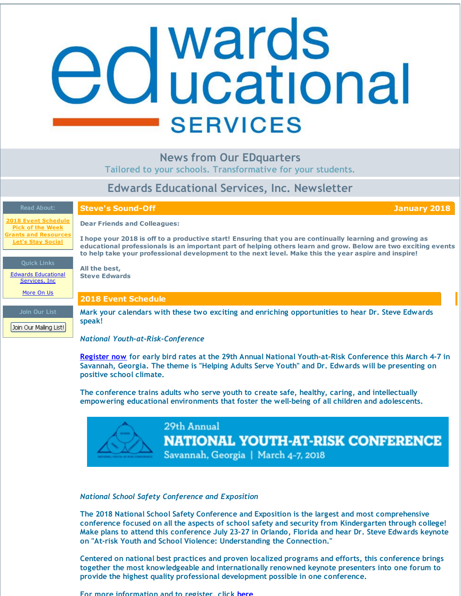## <span id="page-0-0"></span>**d** wards<br>**d** ucational **SERVICES**

## **News from Our EDquarters**

**Tailored to your schools. Transformative for your students.**

## **Edwards Educational Services, Inc. Newsletter**

**Steve's Sound-Off January 2018**

**2018 Event [Schedule](#page-0-0) Pick of the [Week](#page-0-0) and [Resources](#page-0-0) Let's Stay [Social](#page-0-0)**

**Dear Friends and Colleagues:**

**2018 Event Schedule**

**All the best, Steve Edwards**

I hope your 2018 is off to a productive start! Ensuring that you are continually learning and growing as educational professionals is an important part of helping others learn and grow. Below are two exciting events **to help take your professional development to the next level. Make this the year aspire and inspire!**

#### **Quick Links**

Edwards [Educational](http://r20.rs6.net/tn.jsp?f=001OApg7Ljn07tfwf5uDseBzxwouhUt4FGoJJtPF2lJgvGwKmmJnQBFraexyEbwOfKD6wfRBRgOQhY6kF7PM9jTXXQb0EN7r68dIaMq3r2BYQyeZMVVq4A1mz_WeLT0Z4Z1vvIx44BMAdIhCBvG27aPxWP10mx4sq-Fkc3d1SlmQ8d-I6qOXdbTnw==&c=&ch=) Services, Inc.

[More](http://r20.rs6.net/tn.jsp?f=001OApg7Ljn07tfwf5uDseBzxwouhUt4FGoJJtPF2lJgvGwKmmJnQBFrRANAOS7MfSE2WZOGPA4MG0MHu5aLyevMXpJHGCvBPZt-BIWuqqihKaM-1o6h_CZ2ZH9ugAKHKIrYFbIMbeYgFBrdzjBPIWdQFnRnZ7xUg70ofwDc82wNHU0nRfjnTtXpoH3hOezJcTg&c=&ch=) On Us

**Join Our List**

Join Our Mailing List!

**Mark your calendars with these two exciting and enriching opportunities to hear Dr. Steve Edwards speak!**

*National Youth-at-Risk-Conference*

**[Register](http://r20.rs6.net/tn.jsp?f=001OApg7Ljn07tfwf5uDseBzxwouhUt4FGoJJtPF2lJgvGwKmmJnQBFrZMY5jLh9KWkA3ZjsU6fyl77Qp1AGZ26_GSUHGNs67b60eCud7nB9Mhm4BrK-Mq_dpOJCvaXknioGBb79efbKk7mILg4yGa3qjC797ofGReKU0fgUjlue42bnjTQnzD8ab1dUvzv3LyZClZK_6qktcLQ7o05AbDzNlt-nrT_r1BPZXoT8pxHcN4=&c=&ch=) now for early bird rates at the 29th Annual National Youth-at-Risk Conference this March 4-7 in Savannah, Georgia. The theme is "Helping Adults Serve Youth" and Dr. Edwards will be presenting on positive school climate.**

**The conference trains adults who serve youth to create safe, healthy, caring, and intellectually empowering educational environments that foster the well-being of all children and adolescents.**



## *National School Safety Conference and Exposition*

**The 2018 National School Safety Conference and Exposition is the largest and most comprehensive conference focused on all the aspects of school safety and security from Kindergarten through college! Make plans to attend this conference July 23-27 in Orlando, Florida and hear Dr. Steve Edwards keynote on "At-risk Youth and School Violence: Understanding the Connection."**

**Centered on national best practices and proven localized programs and efforts, this conference brings together the most knowledgeable and internationally renowned keynote presenters into one forum to provide the highest quality professional development possible in one conference.**

**For more information and to register, click [here](http://r20.rs6.net/tn.jsp?f=001OApg7Ljn07tfwf5uDseBzxwouhUt4FGoJJtPF2lJgvGwKmmJnQBFrdeKHBG7eFz2Ba0jPCKl8ykVVzE-tDnhJA1eNxlxvmilxfME_HepkBqJyYTQfsZqHUbpEmeMW0YtIHV4a2_FYv66K7Xma18sdaXduBC3Lh0IjHu3Guv3dKEUpVGWIqa3fSSu94tmY19_&c=&ch=)**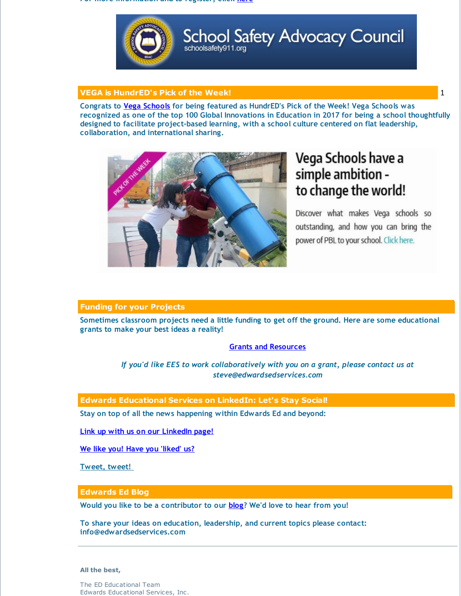**For more information and to register, click here**



## **School Safety Advocacy Council** schoolsafety911.org

## **VEGA is HundrED's Pick of the Week!** 1

**Congrats to Vega [Schools](http://r20.rs6.net/tn.jsp?f=001OApg7Ljn07tfwf5uDseBzxwouhUt4FGoJJtPF2lJgvGwKmmJnQBFrdLYQ8YodjXwNu-ATjZTApkbluFBvY7rARlmoKyJTgYjuzRmDem4qxSXNr30plZ2n2oa6N-ZCe5ExcrWW7xOM3-O8C9Vk1y52DSi0w3unUycj5QRt5v39U4=&c=&ch=) for being featured as HundrED's Pick of the Week! Vega Schools was** recognized as one of the top 100 Global Innovations in Education in 2017 for being a school thoughtfully **designed to facilitate project-based learning, with a school culture centered on flat leadership, collaboration, and international sharing.**



## Vega Schools have a simple ambition to change the world!

Discover what makes Vega schools so outstanding, and how you can bring the power of PBL to your school. Click here.

## **Funding for your Projects**

**Sometimes classroom projects need a little funding to get off the ground. Here are some educational grants to make your best ideas a reality!**

## **Grants and [Resources](http://r20.rs6.net/tn.jsp?f=001OApg7Ljn07tfwf5uDseBzxwouhUt4FGoJJtPF2lJgvGwKmmJnQBFrfeea_hDnRNmm-dUrxW_gxugf1htnAWHZ6c4F_1W4Bk33ZbcVmwqmUPuntOztWV_RxqcAebuzJPDurAM4j6PZ7UxbyFzgnDncDzI_jNz3nF2ecfLvy7zuFe-JiqjMN2IUYUsF2xtKKtm2g6sYXtI2Q8B1w4PXW69b9XcEK02KRsohCGNqj-Y59BG3aHF2aoVcSqaly8kZy229T3owtyzD9w=&c=&ch=)**

*If you'd like EES to work collaboratively with you on a grant, please contact us at steve@edwardsedservices.com*

### **Edwards Educational Services on LinkedIn: Let's Stay Social!**

**Stay on top of all the news happening within Edwards Ed and beyond:**

**Link up with us on our [LinkedIn](http://r20.rs6.net/tn.jsp?f=001OApg7Ljn07tfwf5uDseBzxwouhUt4FGoJJtPF2lJgvGwKmmJnQBFrYqO-WNXZnYn0NCmunxd6IY567_XW1wejds9wISqsy4rcoBIhDsCHOYH6xqL69jop2Q6qoT7k6UwXNEQzeaxmyDvt-4_4bETjDAe4rXZ4q2zqXnyasOv1UiXluwdxtT4zpyfowdK6HSUncBAOim7iuAE0MacQhZqmbNQussLgLZ3S0WXvrl-aKc=&c=&ch=) page!**

**We like you! Have you ['liked'](http://r20.rs6.net/tn.jsp?f=001OApg7Ljn07tfwf5uDseBzxwouhUt4FGoJJtPF2lJgvGwKmmJnQBFraUU2uYsy-NxQdu2aRnwEJ3XkGBk4Q3kw-x4iWEmbSBOuY4UWA81JqnMRREVtvp5XIjKvY4LmC7mc2i84i5i7QHmzQEntEEWbqIEYd_TnNcin7xLE72KHLGA9GMnNeQkrSP1xXr2NmeVmzLxEbYQ0uU=&c=&ch=) us?**

**[Tweet,](http://r20.rs6.net/tn.jsp?f=001OApg7Ljn07tfwf5uDseBzxwouhUt4FGoJJtPF2lJgvGwKmmJnQBFrYqO-WNXZnYnJe9y87zOair4r-MlySslD_LUOgUQ76doqWv6oYHOo3ScuM7V6oQwWwcSQ58wwi5AEPsAfSptDH6W9I8hHfUFZGBaG96tDGzxDbpFC0yvLW3Id-B6xDL_oN2h781crXTV&c=&ch=) tweet!**

### **Edwards Ed Blog**

**Would you like to be a contributor to our [blog](http://r20.rs6.net/tn.jsp?f=001OApg7Ljn07tfwf5uDseBzxwouhUt4FGoJJtPF2lJgvGwKmmJnQBFraexyEbwOfKDqhcf_ABEosao0M99CMjbdOYdcwyobnr54h6M5pE47P32Uc5WKubsNGYdUrw2wqagl85pCyqgJAyLhyxTtolEYKFKQovaE7Y5hP9oIwwZsltm7HBXNc6l0irtyHSrEU63&c=&ch=)? We'd love to hear from you!**

**To share your ideas on education, leadership, and current topics please contact: info@edwardsedservices.com**

#### **All the best,**

The ED Educational Team Edwards Educational Services, Inc.